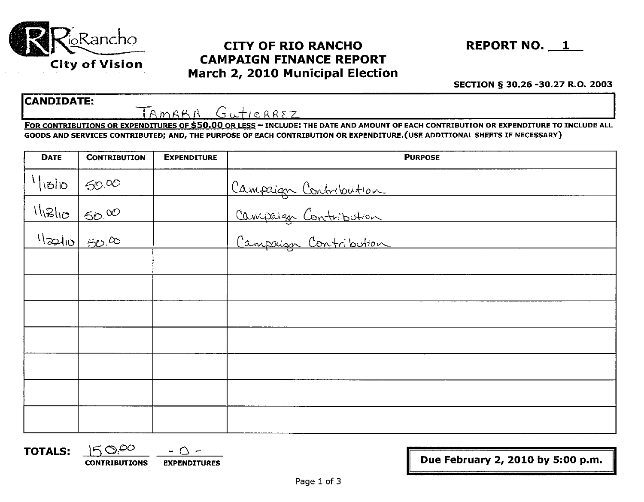

# City of Vision CAMPAIGN FINANCE REPORT March 2, 2010 Municipal Election



#### SECTION § 30.26 -30.27 R.O. 2003

#### CANDIDATE:

TAMARA Gutierrez

FOR CONTRIBUTIONS OR EXPENDITURES OF \$50.00 OR LESS - INCLUDE: THE DATE AND AMOUNT OF EACH CONTRIBUTION OR EXPENDITURE TO INCLUDE ALL GOODS AND SERVICES CONTRIBUTED; AND, THE PURPOSE OF EACH CONTRIBUTION OR EXPENDITURE.(USE ADDITIONAL SHEETS IF NECESSARY)

| <b>DATE</b>    | <b>CONTRIBUTION</b>              | <b>EXPENDITURE</b> | <b>PURPOSE</b>        |
|----------------|----------------------------------|--------------------|-----------------------|
| $\frac{1}{10}$ | 50.00                            |                    | Campaign Contribution |
| 11210          | 500                              |                    | Campaign Contribution |
|                | $\frac{1}{\frac{1}{2010}}$ 50.00 |                    |                       |
|                |                                  |                    |                       |
|                |                                  |                    |                       |
|                |                                  |                    |                       |
|                |                                  |                    |                       |
|                |                                  |                    |                       |
|                |                                  |                    |                       |
|                |                                  |                    |                       |

**TOTALS:**  $15 \degree 0^\circ$  - Q -

 $\frac{1}{2}$  CONTRIBUTIONS EXPENDITURES **In the set of the CONTRIBUTIONS** EXPENDITURES

II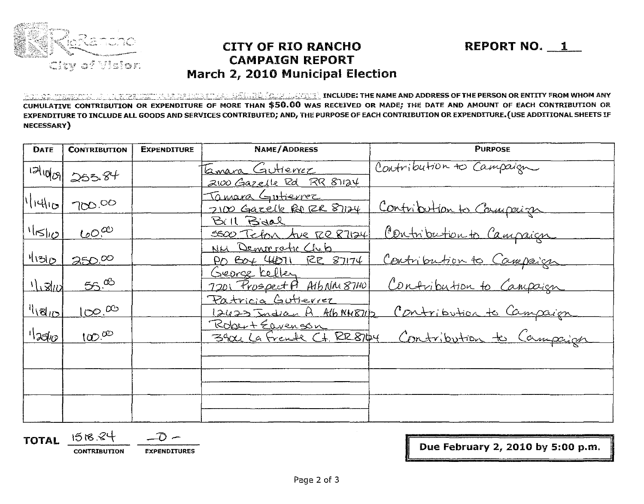

### **CITY OF RIO RANCHO CAMPAIGN REPORT** March 2, 2010 Municipal Election

REPORT NO. 1

<u>to do the person and the prediction and all the second include: the name and address of the person or entity from whom any</u> CUMULATIVE CONTRIBUTION OR EXPENDITURE OF MORE THAN \$50.00 WAS RECEIVED OR MADE; THE DATE AND AMOUNT OF EACH CONTRIBUTION OR EXPENDITURE TO INCLUDE ALL GOODS AND SERVICES CONTRIBUTED; AND, THE PURPOSE OF EACH CONTRIBUTION OR EXPENDITURE. (USE ADDITIONAL SHEETS IF **NECESSARY**)

| DATE               | <b>CONTRIBUTION</b> | <b>EXPENDITURE</b> | <b>NAME/ADDRESS</b>                                 | <b>PURPOSE</b>           |
|--------------------|---------------------|--------------------|-----------------------------------------------------|--------------------------|
|                    | $121000$ 253.84     |                    | <u>Lamara Gutierrez</u><br>2100 Gazelle Rd RR 87124 | Contribution to Campaign |
| $ l_{04}  l_{10} $ | 700.00              |                    | <u>Tamara Gutierrez</u><br>2100 Gazelle Ro ER 81124 | Contribution to Compaign |
| $1^{11}$           | $\omega^{\alpha}$   |                    | Bill Bidal<br>5500 Teton Ave RR 87124               | Contribution to Campaign |
| 1130               | 250.00              |                    | NH Democratic Cheb<br>PO BOY 46711 RE 87174         | Contribution to Campaign |
| 11301              | 55.00               |                    | George Kelley<br>7201 Prospect P A16 NM 8740        | Contribution to Campaign |
| <u> "।।श्चाञ</u>   | $100^{6}$           |                    | Patricia Gutierrez<br>$12423$ Indian A Alb NH871/2  | Contribution to Campaign |
| $\log_{10}$        | $100^{00}$          |                    | Robert Eavenson<br>3904 La Frente Ct. RR8104        | Contribution to Campaign |
|                    |                     |                    |                                                     |                          |
|                    |                     |                    |                                                     |                          |
|                    |                     |                    |                                                     |                          |

TOTAL 1518.84

**CONTRIBUTION** 

**EXPENDITURES** 

Due February 2, 2010 by 5:00 p.m.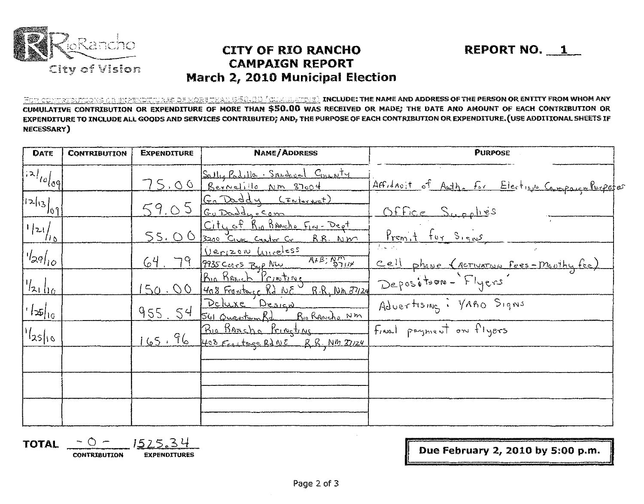

### **CITY OF RIO RANCHO CAMPAIGN REPORT** March 2, 2010 Municipal Election

REPORT NO. 1

FOR CONTRIBUTIONS OR E<u>XPENDITURES OF MORETMAN GÉO.CO (CULLETTME)</u> INCLUDE: THE NAME AND ADDRESS OF THE PERSON OR ENTITY FROM WHOM ANY CUMULATIVE CONTRIBUTION OR EXPENDITURE OF MORE THAN \$50.00 WAS RECEIVED OR MADE; THE DATE AND AMOUNT OF EACH CONTRIBUTION OR EXPENDITURE TO INCLUDE ALL GOODS AND SERVICES CONTRIBUTED; AND, THE PURPOSE OF EACH CONTRIBUTION OR EXPENDITURE. (USE ADDITIONAL SHEETS IF **NECESSARY**)

| DATE                    | <b>CONTRIBUTION</b> | <b>EXPENDITURE</b> | <b>NAME/ADDRESS</b>                                                  | <b>PURPOSE</b>                                   |
|-------------------------|---------------------|--------------------|----------------------------------------------------------------------|--------------------------------------------------|
| $ 12 $ $log$            |                     |                    | Sally Padulle Snodered County<br>75,00 Rernetille Nm 87004           | Affidavit of Auth. For Election Company Purpofer |
| 1213/09                 |                     |                    | 59.05 Go Daddy CENterNet)                                            | <u>Office Supplies</u>                           |
| $\frac{1}{2}$           |                     |                    | City of Rio RANcho Fin-Dept<br>55.00 3200 Give center Cr RR. NM      | Premit for Signs                                 |
| $  \cdot  _{29}  _{10}$ |                     |                    | 64. 79 9935 CORT ByR NW AFB STILL                                    | Cell phone (Activation Fees-Movity fee)          |
| $\frac{1}{2}$           |                     |                    | 150.00 Rio Renich Printing<br>150.00 408 Frantego Rd NE R.R. NM 8124 | Deposition - Flyers                              |
| $ 156 _{10}$            |                     |                    | 955. 54 Suicide Design<br>955. 54 Suice aventum Rd. Richarche NM     | Advertising : VARD Signs                         |
| $ {}^{1}l_{25} _{16} $  |                     |                    | 165.96 Prio Bancho Princting Final payment on flyers                 |                                                  |
|                         |                     |                    |                                                                      |                                                  |
|                         |                     |                    |                                                                      |                                                  |
|                         |                     |                    |                                                                      |                                                  |

**TOTAL CONTRIBUTION EXPENDITURES** 

Due February 2, 2010 by 5:00 p.m.